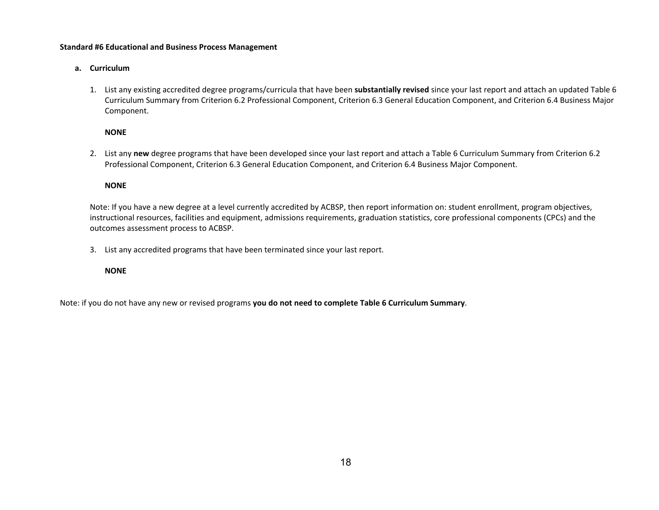#### **Standard #6 Educational and Business Process Management**

## **a. Curriculum**

1. List any existing accredited degree programs/curricula that have been **substantially revised** since your last report and attach an updated Table 6 Curriculum Summary from Criterion 6.2 Professional Component, Criterion 6.3 General Education Component, and Criterion 6.4 Business Major Component.

### **NONE**

2. List any **new** degree programs that have been developed since your last report and attach a Table 6 Curriculum Summary from Criterion 6.2 Professional Component, Criterion 6.3 General Education Component, and Criterion 6.4 Business Major Component.

# **NONE**

Note: If you have a new degree at a level currently accredited by ACBSP, then report information on: student enrollment, program objectives, instructional resources, facilities and equipment, admissions requirements, graduation statistics, core professional components (CPCs) and the outcomes assessment process to ACBSP.

3. List any accredited programs that have been terminated since your last report.

### **NONE**

Note: if you do not have any new or revised programs **you do not need to complete Table 6 Curriculum Summary**.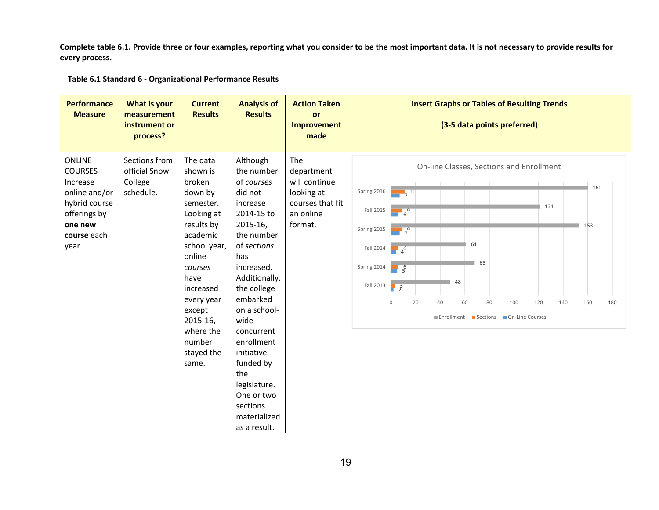**Complete table 6.1. Provide three or four examples, reporting what you consider to be the most important data. It is not necessary to provide results for every process.** 

 **Table 6.1 Standard 6 ‐ Organizational Performance Results** 

| <b>Performance</b><br><b>Measure</b>                                                                                             | <b>What is your</b><br>measurement<br>instrument or<br>process? | <b>Current</b><br><b>Results</b>                                                                                                                                                                                                           | <b>Analysis of</b><br><b>Results</b>                                                                                                                                                                                                                                                                                                                | <b>Action Taken</b><br>or<br><b>Improvement</b><br>made                                      | <b>Insert Graphs or Tables of Resulting Trends</b><br>(3-5 data points preferred)                                                                                                                                                                                                                                                                                                                           |
|----------------------------------------------------------------------------------------------------------------------------------|-----------------------------------------------------------------|--------------------------------------------------------------------------------------------------------------------------------------------------------------------------------------------------------------------------------------------|-----------------------------------------------------------------------------------------------------------------------------------------------------------------------------------------------------------------------------------------------------------------------------------------------------------------------------------------------------|----------------------------------------------------------------------------------------------|-------------------------------------------------------------------------------------------------------------------------------------------------------------------------------------------------------------------------------------------------------------------------------------------------------------------------------------------------------------------------------------------------------------|
| <b>ONLINE</b><br><b>COURSES</b><br>Increase<br>online and/or<br>hybrid course<br>offerings by<br>one new<br>course each<br>year. | Sections from<br>official Snow<br>College<br>schedule.          | The data<br>shown is<br>broken<br>down by<br>semester.<br>Looking at<br>results by<br>academic<br>school year,<br>online<br>courses<br>have<br>increased<br>every year<br>except<br>2015-16,<br>where the<br>number<br>stayed the<br>same. | Although<br>the number<br>of courses<br>did not<br>increase<br>2014-15 to<br>2015-16,<br>the number<br>of sections<br>has<br>increased.<br>Additionally,<br>the college<br>embarked<br>on a school-<br>wide<br>concurrent<br>enrollment<br>initiative<br>funded by<br>the<br>legislature.<br>One or two<br>sections<br>materialized<br>as a result. | The<br>department<br>will continue<br>looking at<br>courses that fit<br>an online<br>format. | On-line Classes, Sections and Enrollment<br>160<br>Spring 2016<br>$\frac{11}{7}$<br>121<br>Fall 2015<br>$\frac{1}{6}$<br>153<br>Spring 2015<br>$\frac{1}{7}$<br>61<br>Fall 2014<br>$\frac{1}{4}$ <sup>6</sup><br>68<br>Spring 2014<br>$\frac{6}{5}$<br>48<br>Fall 2013<br>$\frac{3}{2}$<br>20<br>60<br>80<br>100<br>120<br>160<br>180<br>$\Omega$<br>40<br>140<br>■ Enrollment ■ Sections ■ On-Line Courses |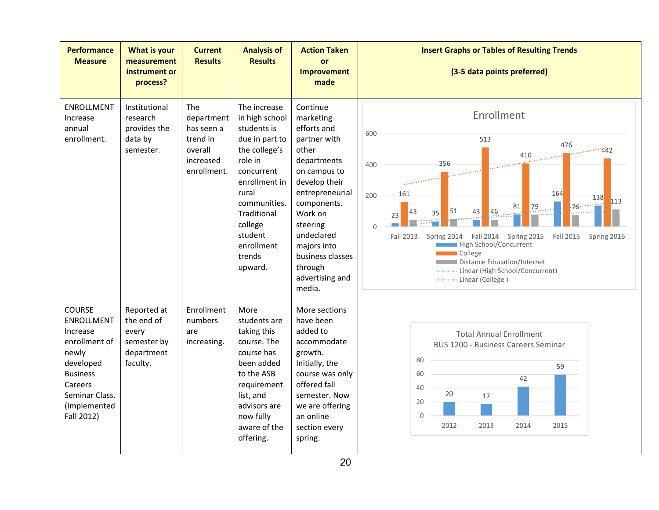| <b>Performance</b><br><b>Measure</b>                                                                                                                                | <b>What is your</b><br>measurement<br>instrument or<br>process?             | <b>Current</b><br><b>Results</b>                                                          | <b>Analysis of</b><br><b>Results</b>                                                                                                                                                                                        | <b>Action Taken</b><br><b>or</b><br><b>Improvement</b><br>made                                                                                                                                                                                                  | <b>Insert Graphs or Tables of Resulting Trends</b><br>(3-5 data points preferred)                                                                                                                                                                                                                                                                                                                                                                                                                                                                                                                                                                                               |
|---------------------------------------------------------------------------------------------------------------------------------------------------------------------|-----------------------------------------------------------------------------|-------------------------------------------------------------------------------------------|-----------------------------------------------------------------------------------------------------------------------------------------------------------------------------------------------------------------------------|-----------------------------------------------------------------------------------------------------------------------------------------------------------------------------------------------------------------------------------------------------------------|---------------------------------------------------------------------------------------------------------------------------------------------------------------------------------------------------------------------------------------------------------------------------------------------------------------------------------------------------------------------------------------------------------------------------------------------------------------------------------------------------------------------------------------------------------------------------------------------------------------------------------------------------------------------------------|
| <b>ENROLLMENT</b><br>Increase<br>annual<br>enrollment.                                                                                                              | Institutional<br>research<br>provides the<br>data by<br>semester.           | <b>The</b><br>department<br>has seen a<br>trend in<br>overall<br>increased<br>enrollment. | The increase<br>in high school<br>students is<br>due in part to<br>the college's<br>role in<br>concurrent<br>enrollment in<br>rural<br>communities.<br>Traditional<br>college<br>student<br>enrollment<br>trends<br>upward. | Continue<br>marketing<br>efforts and<br>partner with<br>other<br>departments<br>on campus to<br>develop their<br>entrepreneurial<br>components.<br>Work on<br>steering<br>undeclared<br>majors into<br>business classes<br>through<br>advertising and<br>media. | Enrollment<br>600<br>513<br>476<br>410<br>$\mathbb{R}$ and the set of $\mathbb{R}$<br>356<br>1. <u>.</u><br>400<br>$\mathcal{L}$ . The contraction of the contract of the contract of the contract of the contract of the contract of the contract of the contract of the contract of the contract of the contract of the contract of the contract of<br>164<br>161<br>200<br>138<br>113<br>81<br>79.<br>$-76$<br>51<br>46<br>43<br>43<br>35<br>23<br>$\mathbf 0$<br>Spring 2015<br>Fall 2013<br>Spring 2014   Fall 2014<br>Fall 2015<br>Spring 2016<br>High School/Concurrent<br>College<br>Distance Education/Internet<br>Linear (High School/Concurrent)<br>Linear (College) |
| <b>COURSE</b><br><b>ENROLLMENT</b><br>Increase<br>enrollment of<br>newly<br>developed<br><b>Business</b><br>Careers<br>Seminar Class.<br>(Implemented<br>Fall 2012) | Reported at<br>the end of<br>every<br>semester by<br>department<br>faculty. | Enrollment<br>numbers<br>are<br>increasing.                                               | More<br>students are<br>taking this<br>course. The<br>course has<br>been added<br>to the ASB<br>requirement<br>list, and<br>advisors are<br>now fully<br>aware of the<br>offering.                                          | More sections<br>have been<br>added to<br>accommodate<br>growth.<br>Initially, the<br>course was only<br>offered fall<br>semester. Now<br>we are offering<br>an online<br>section every<br>spring.                                                              | <b>Total Annual Enrollment</b><br><b>BUS 1200 - Business Careers Seminar</b><br>80<br>59<br>60<br>42<br>40<br>20<br>17<br>20<br>$\Omega$<br>2012<br>2013<br>2014<br>2015                                                                                                                                                                                                                                                                                                                                                                                                                                                                                                        |